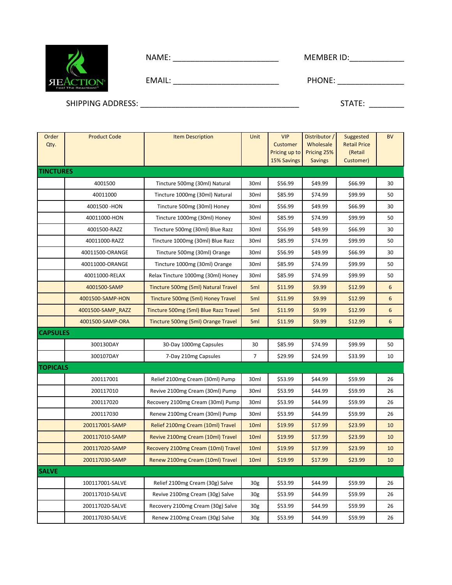| NA.<br>- -<br> |
|----------------|
|----------------|

| MEMBER ID: |  |
|------------|--|
|            |  |

| --<br>$\cdots$<br>---- | . .<br>.<br>. |
|------------------------|---------------|
|------------------------|---------------|

SHIPPING ADDRESS: \_\_\_\_\_\_\_\_\_\_\_\_\_\_\_\_\_\_\_\_\_\_\_\_\_\_\_\_\_\_\_\_\_\_\_\_ STATE: \_\_\_\_\_\_\_\_

**SEACTION®** 

| Order<br>Qty.    | <b>Product Code</b> | <b>Item Description</b>               | Unit             | <b>VIP</b><br>Customer<br>Pricing up to<br>15% Savings | Distributor /<br>Wholesale<br>Pricing 25%<br><b>Savings</b> | Suggested<br><b>Retail Price</b><br>(Retail<br>Customer) | <b>BV</b> |
|------------------|---------------------|---------------------------------------|------------------|--------------------------------------------------------|-------------------------------------------------------------|----------------------------------------------------------|-----------|
| <b>TINCTURES</b> |                     |                                       |                  |                                                        |                                                             |                                                          |           |
|                  | 4001500             | Tincture 500mg (30ml) Natural         | 30ml             | \$56.99                                                | \$49.99                                                     | \$66.99                                                  | 30        |
|                  | 40011000            | Tincture 1000mg (30ml) Natural        | 30ml             | \$85.99                                                | \$74.99                                                     | \$99.99                                                  | 50        |
|                  | 4001500 - HON       | Tincture 500mg (30ml) Honey           | 30ml             | \$56.99                                                | \$49.99                                                     | \$66.99                                                  | 30        |
|                  | 40011000-HON        | Tincture 1000mg (30ml) Honey          | 30ml             | \$85.99                                                | \$74.99                                                     | \$99.99                                                  | 50        |
|                  | 4001500-RAZZ        | Tincture 500mg (30ml) Blue Razz       | 30ml             | \$56.99                                                | \$49.99                                                     | \$66.99                                                  | 30        |
|                  | 40011000-RAZZ       | Tincture 1000mg (30ml) Blue Razz      | 30ml             | \$85.99                                                | \$74.99                                                     | \$99.99                                                  | 50        |
|                  | 40011500-ORANGE     | Tincture 500mg (30ml) Orange          | 30ml             | \$56.99                                                | \$49.99                                                     | \$66.99                                                  | 30        |
|                  | 40011000-ORANGE     | Tincture 1000mg (30ml) Orange         | 30ml             | \$85.99                                                | \$74.99                                                     | \$99.99                                                  | 50        |
|                  | 40011000-RELAX      | Relax Tincture 1000mg (30ml) Honey    | 30ml             | \$85.99                                                | \$74.99                                                     | \$99.99                                                  | 50        |
|                  | 4001500-SAMP        | Tincture 500mg (5ml) Natural Travel   | 5ml              | \$11.99                                                | \$9.99                                                      | \$12.99                                                  | 6         |
|                  | 4001500-SAMP-HON    | Tincture 500mg (5ml) Honey Travel     | 5 <sub>ml</sub>  | \$11.99                                                | \$9.99                                                      | \$12.99                                                  | 6         |
|                  | 4001500-SAMP_RAZZ   | Tincture 500mg (5ml) Blue Razz Travel | 5ml              | \$11.99                                                | \$9.99                                                      | \$12.99                                                  | 6         |
|                  | 4001500-SAMP-ORA    | Tincture 500mg (5ml) Orange Travel    | 5ml              | \$11.99                                                | \$9.99                                                      | \$12.99                                                  | 6         |
| <b>CAPSULES</b>  |                     |                                       |                  |                                                        |                                                             |                                                          |           |
|                  | 300130DAY           | 30-Day 1000mg Capsules                | 30               | \$85.99                                                | \$74.99                                                     | \$99.99                                                  | 50        |
|                  | 300107DAY           | 7-Day 210mg Capsules                  | $\overline{7}$   | \$29.99                                                | \$24.99                                                     | \$33.99                                                  | 10        |
| <b>TOPICALS</b>  |                     |                                       |                  |                                                        |                                                             |                                                          |           |
|                  | 200117001           | Relief 2100mg Cream (30ml) Pump       | 30ml             | \$53.99                                                | \$44.99                                                     | \$59.99                                                  | 26        |
|                  | 200117010           | Revive 2100mg Cream (30ml) Pump       | 30ml             | \$53.99                                                | \$44.99                                                     | \$59.99                                                  | 26        |
|                  | 200117020           | Recovery 2100mg Cream (30ml) Pump     | 30ml             | \$53.99                                                | \$44.99                                                     | \$59.99                                                  | 26        |
|                  | 200117030           | Renew 2100mg Cream (30ml) Pump        | 30ml             | \$53.99                                                | \$44.99                                                     | \$59.99                                                  | 26        |
|                  | 200117001-SAMP      | Relief 2100mg Cream (10ml) Travel     | 10 <sub>ml</sub> | \$19.99                                                | \$17.99                                                     | \$23.99                                                  | 10        |
|                  | 200117010-SAMP      | Revive 2100mg Cream (10ml) Travel     | 10 <sub>ml</sub> | \$19.99                                                | \$17.99                                                     | \$23.99                                                  | 10        |
|                  | 200117020-SAMP      | Recovery 2100mg Cream (10ml) Travel   | 10 <sub>ml</sub> | \$19.99                                                | \$17.99                                                     | \$23.99                                                  | 10        |
|                  | 200117030-SAMP      | Renew 2100mg Cream (10ml) Travel      | 10 <sub>ml</sub> | \$19.99                                                | \$17.99                                                     | \$23.99                                                  | 10        |
| <b>SALVE</b>     |                     |                                       |                  |                                                        |                                                             |                                                          |           |
|                  | 100117001-SALVE     | Relief 2100mg Cream (30g) Salve       | 30 <sub>g</sub>  | \$53.99                                                | \$44.99                                                     | \$59.99                                                  | 26        |
|                  | 200117010-SALVE     | Revive 2100mg Cream (30g) Salve       | 30 <sub>g</sub>  | \$53.99                                                | \$44.99                                                     | \$59.99                                                  | 26        |
|                  | 200117020-SALVE     | Recovery 2100mg Cream (30g) Salve     | 30g              | \$53.99                                                | \$44.99                                                     | \$59.99                                                  | 26        |
|                  | 200117030-SALVE     | Renew 2100mg Cream (30g) Salve        | 30 <sub>g</sub>  | \$53.99                                                | \$44.99                                                     | \$59.99                                                  | 26        |